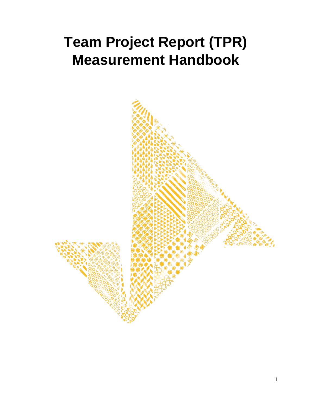# <span id="page-0-0"></span>**Team Project Report (TPR) Measurement Handbook**

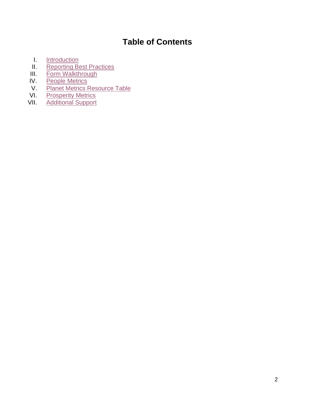## **Table of Contents**

- I. [Introduction](#page-2-0)<br>II. Reporting Be
- II. [Reporting Best Practices](#page-2-1)<br>III. Form Walkthrough
- **III.** [Form Walkthrough](#page-3-0)<br>IV. People Metrics
- IV. [People Metrics](#page-8-0)<br>V. Planet Metrics F
- V. Planet Metrics [Resource](#page-10-0) Table<br>VI. Prosperity Metrics
- VI. [Prosperity Metrics](#page-12-0)<br>VII. Additional Support
- **[Additional Support](#page-14-0)**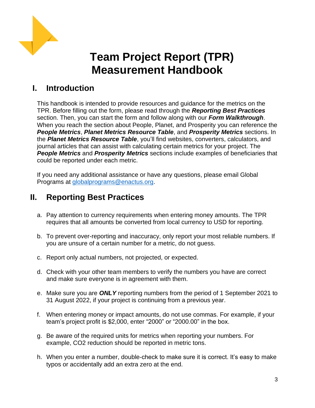

## **Team Project Report (TPR) Measurement Handbook**

## <span id="page-2-0"></span>**I. Introduction**

This handbook is intended to provide resources and guidance for the metrics on the TPR. Before filling out the form, please read through the *Reporting Best Practices* section. Then, you can start the form and follow along with our *Form Walkthrough*. When you reach the section about People, Planet, and Prosperity you can reference the *People Metrics*, *Planet Metrics Resource Table*, and *Prosperity Metrics* sections. In the *Planet Metrics Resource Table*, you'll find websites, converters, calculators, and journal articles that can assist with calculating certain metrics for your project. The *People Metrics* and *Prosperity Metrics* sections include examples of beneficiaries that could be reported under each metric.

If you need any additional assistance or have any questions, please email Global Programs at [globalprograms@enactus.org.](mailto:globalprograms@enactus.org)

## <span id="page-2-1"></span>**II. Reporting Best Practices**

- a. Pay attention to currency requirements when entering money amounts. The TPR requires that all amounts be converted from local currency to USD for reporting.
- b. To prevent over-reporting and inaccuracy, only report your most reliable numbers. If you are unsure of a certain number for a metric, do not guess.
- c. Report only actual numbers, not projected, or expected.
- d. Check with your other team members to verify the numbers you have are correct and make sure everyone is in agreement with them.
- e. Make sure you are *ONLY* reporting numbers from the period of 1 September 2021 to 31 August 2022, if your project is continuing from a previous year.
- f. When entering money or impact amounts, do not use commas. For example, if your team's project profit is \$2,000, enter "2000" or "2000.00" in the box.
- g. Be aware of the required units for metrics when reporting your numbers. For example, CO2 reduction should be reported in metric tons.
- h. When you enter a number, double-check to make sure it is correct. It's easy to make typos or accidentally add an extra zero at the end.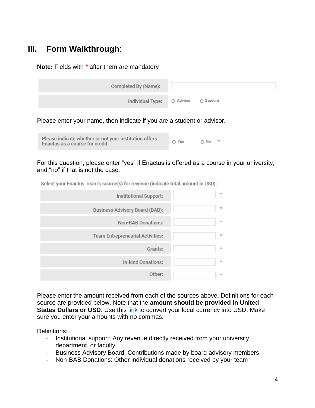## <span id="page-3-0"></span>**III. Form Walkthrough**:

**Note:** Fields with \* after them are mandatory

| Completed By (Name):                 |  |
|--------------------------------------|--|
|                                      |  |
| Individual Type: O Advisor O Student |  |

Please enter your name, then indicate if you are a student or advisor.

|  | Please indicate whether or not your institution offers<br>Enactus as a course for credit: | O Yes | O No |
|--|-------------------------------------------------------------------------------------------|-------|------|
|--|-------------------------------------------------------------------------------------------|-------|------|

For this question, please enter "yes" if Enactus is offered as a course in your university, and "no" if that is not the case.

| <b>OCION FOR LIBRARY TVALLEY SOULDED</b> TVL LODGED THURSED WILL GITTOMIT III OOD JE |
|--------------------------------------------------------------------------------------|
| Institutional Support:                                                               |
| Business Advisory Board (BAB):                                                       |
| <b>Non-BAB Donations:</b>                                                            |
| <b>Team Entrepreneurial Activities:</b>                                              |

Select your Enactus Team's source(s) for revenue (indicate total amount in USD).

Please enter the amount received from each of the sources above. Definitions for each source are provided below. Note that the **amount should be provided in United States Dollars or USD**. Use this [link](https://www.oanda.com/currency-converter/en/?from=EUR&to=USD&amount=1) to convert your local currency into USD. Make sure you enter your amounts with no commas.

Grants:

Other:

In-kind Donations:

Definitions:

- Institutional support: Any revenue directly received from your university, department, or faculty
- Business Advisory Board: Contributions made by board advisory members
- Non-BAB Donations: Other individual donations received by your team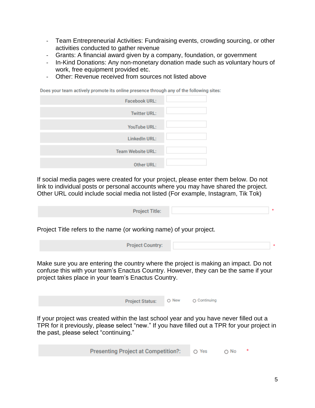- Team Entrepreneurial Activities: Fundraising events, crowding sourcing, or other activities conducted to gather revenue
- Grants: A financial award given by a company, foundation, or government
- In-Kind Donations: Any non-monetary donation made such as voluntary hours of work, free equipment provided etc.
- Other: Revenue received from sources not listed above

Does your team actively promote its online presence through any of the following sites:

| <b>Facebook URL:</b>     |  |
|--------------------------|--|
| <b>Twitter URL:</b>      |  |
| <b>YouTube URL:</b>      |  |
| <b>LinkedIn URL:</b>     |  |
| <b>Team Website URL:</b> |  |
| <b>Other URL:</b>        |  |

If social media pages were created for your project, please enter them below. Do not link to individual posts or personal accounts where you may have shared the project. Other URL could include social media not listed (For example, Instagram, Tik Tok)

| <b>Project Title:</b> |  |
|-----------------------|--|
|                       |  |

Project Title refers to the name (or working name) of your project.

| <b>Project Country:</b> |  |
|-------------------------|--|
|                         |  |

Make sure you are entering the country where the project is making an impact. Do not confuse this with your team's Enactus Country. However, they can be the same if your project takes place in your team's Enactus Country.

| Project Status: O New O Continuing |  |
|------------------------------------|--|
|                                    |  |

If your project was created within the last school year and you have never filled out a TPR for it previously, please select "new." If you have filled out a TPR for your project in the past, please select "continuing."

| <b>Presenting Project at Competition?:</b> | O Yes | $\bigcirc$ No |  |
|--------------------------------------------|-------|---------------|--|
|--------------------------------------------|-------|---------------|--|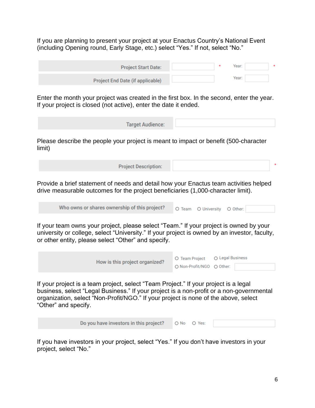If you are planning to present your project at your Enactus Country's National Event (including Opening round, Early Stage, etc.) select "Yes." If not, select "No."

| <b>Project Start Date:</b>       |  | Year: |  |
|----------------------------------|--|-------|--|
| Project End Date (if applicable) |  | Year: |  |

Enter the month your project was created in the first box. In the second, enter the year. If your project is closed (not active), enter the date it ended.

| <b>Target Audience:</b> |  |  |  |
|-------------------------|--|--|--|
|                         |  |  |  |

Please describe the people your project is meant to impact or benefit (500-character limit)

| <b>Project Description:</b> |  |
|-----------------------------|--|
|                             |  |

Provide a brief statement of needs and detail how your Enactus team activities helped drive measurable outcomes for the project beneficiaries (1,000-character limit).

| Who owns or shares ownership of this project? |  | O Team O University O Other: |  |  |
|-----------------------------------------------|--|------------------------------|--|--|
|-----------------------------------------------|--|------------------------------|--|--|

If your team owns your project, please select "Team." If your project is owned by your university or college, select "University." If your project is owned by an investor, faculty, or other entity, please select "Other" and specify.

| How is this project organized? | O Team Project O Legal Business |  |
|--------------------------------|---------------------------------|--|
|                                | O Non-Profit/NGO O Other:       |  |
|                                |                                 |  |

If your project is a team project, select "Team Project." If your project is a legal business, select "Legal Business." If your project is a non-profit or a non-governmental organization, select "Non-Profit/NGO." If your project is none of the above, select "Other" and specify.

> Do you have investors in this project? O No O Yes:

If you have investors in your project, select "Yes." If you don't have investors in your project, select "No."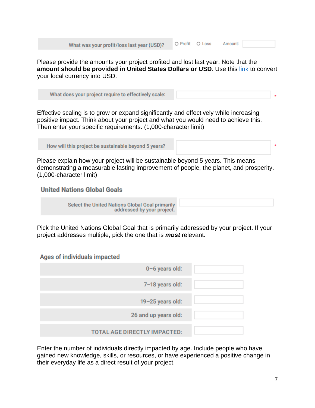| What was your profit/loss last year (USD)? |
|--------------------------------------------|
|--------------------------------------------|

O Profit O Loss Amount:

Please provide the amounts your project profited and lost last year. Note that the **amount should be provided in United States Dollars or USD**. Use this [link](https://www.oanda.com/currency-converter/en/?from=EUR&to=USD&amount=1) to convert your local currency into USD.

What does your project require to effectively scale:

Effective scaling is to grow or expand significantly and effectively while increasing positive impact. Think about your project and what you would need to achieve this. Then enter your specific requirements. (1,000-character limit)

How will this project be sustainable beyond 5 years?

Please explain how your project will be sustainable beyond 5 years. This means demonstrating a measurable lasting improvement of people, the planet, and prosperity. (1,000-character limit)

#### **United Nations Global Goals**

**Select the United Nations Global Goal primarily** addressed by your project.

Pick the United Nations Global Goal that is primarily addressed by your project. If your project addresses multiple, pick the one that is *most* relevant.

#### Ages of individuals impacted

| 0-6 years old:                      |  |
|-------------------------------------|--|
| 7-18 years old:                     |  |
| $19 - 25$ years old:                |  |
| 26 and up years old:                |  |
| <b>TOTAL AGE DIRECTLY IMPACTED:</b> |  |

Enter the number of individuals directly impacted by age. Include people who have gained new knowledge, skills, or resources, or have experienced a positive change in their everyday life as a direct result of your project.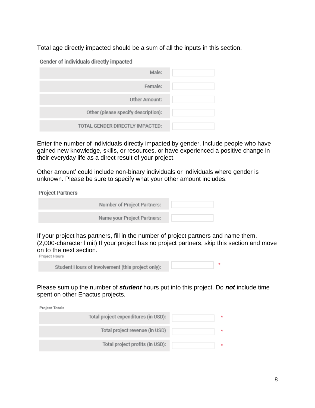Total age directly impacted should be a sum of all the inputs in this section.

Gender of individuals directly impacted

| Male:                               |  |
|-------------------------------------|--|
| Female:                             |  |
| Other Amount:                       |  |
| Other (please specify description): |  |
| TOTAL GENDER DIRECTLY IMPACTED:     |  |

Enter the number of individuals directly impacted by gender. Include people who have gained new knowledge, skills, or resources, or have experienced a positive change in their everyday life as a direct result of your project.

Other amount' could include non-binary individuals or individuals where gender is unknown. Please be sure to specify what your other amount includes.

**Project Partners** 

| Number of Project Partners: |  |
|-----------------------------|--|
| Name your Project Partners: |  |

If your project has partners, fill in the number of project partners and name them. (2,000-character limit) If your project has no project partners, skip this section and move on to the next section.<br>Project Hours

Please sum up the number of *student* hours put into this project. Do *not* include time spent on other Enactus projects.

Project Totals

| Total project expenditures (in USD): |  |
|--------------------------------------|--|
| Total project revenue (in USD)       |  |
| Total project profits (in USD):      |  |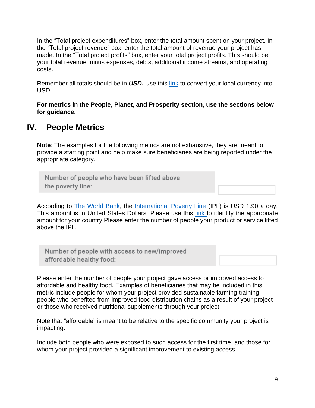In the "Total project expenditures" box, enter the total amount spent on your project. In the "Total project revenue" box, enter the total amount of revenue your project has made. In the "Total project profits" box, enter your total project profits. This should be your total revenue minus expenses, debts, additional income streams, and operating costs.

Remember all totals should be in *USD.* Use this [link](https://www.oanda.com/currency-converter/en/?from=EUR&to=USD&amount=1) to convert your local currency into USD.

**For metrics in the People, Planet, and Prosperity section, use the sections below for guidance.** 

### <span id="page-8-0"></span>**IV. People Metrics**

**Note**: The examples for the following metrics are not exhaustive, they are meant to provide a starting point and help make sure beneficiaries are being reported under the appropriate category.

Number of people who have been lifted above the poverty line:

According to [The World Bank,](https://www.worldbank.org/en/home) the [International Poverty Line](https://www.worldbank.org/en/programs/icp/brief/poverty-line) (IPL) is USD 1.90 a day. This amount is in United States Dollars. Please use this [link](https://www.oanda.com/currency-converter/en/?from=EUR&to=USD&amount=1) to identify the appropriate amount for your country Please enter the number of people your product or service lifted above the IPL.

Number of people with access to new/improved affordable healthy food:

Please enter the number of people your project gave access or improved access to affordable and healthy food. Examples of beneficiaries that may be included in this metric include people for whom your project provided sustainable farming training, people who benefited from improved food distribution chains as a result of your project or those who received nutritional supplements through your project.

Note that "affordable" is meant to be relative to the specific community your project is impacting.

Include both people who were exposed to such access for the first time, and those for whom your project provided a significant improvement to existing access.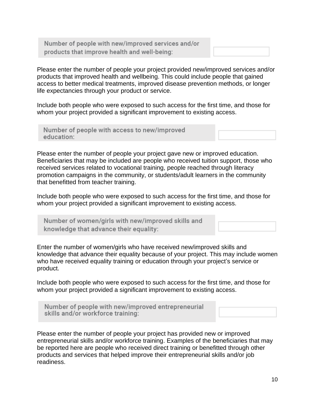Number of people with new/improved services and/or products that improve health and well-being:

Please enter the number of people your project provided new/improved services and/or products that improved health and wellbeing. This could include people that gained access to better medical treatments, improved disease prevention methods, or longer life expectancies through your product or service.

Include both people who were exposed to such access for the first time, and those for whom your project provided a significant improvement to existing access.

Number of people with access to new/improved education:

Please enter the number of people your project gave new or improved education. Beneficiaries that may be included are people who received tuition support, those who received services related to vocational training, people reached through literacy promotion campaigns in the community, or students/adult learners in the community that benefitted from teacher training.

Include both people who were exposed to such access for the first time, and those for whom your project provided a significant improvement to existing access.

Number of women/girls with new/improved skills and knowledge that advance their equality:

Enter the number of women/girls who have received new/improved skills and knowledge that advance their equality because of your project. This may include women who have received equality training or education through your project's service or product.

Include both people who were exposed to such access for the first time, and those for whom your project provided a significant improvement to existing access.



Please enter the number of people your project has provided new or improved entrepreneurial skills and/or workforce training. Examples of the beneficiaries that may be reported here are people who received direct training or benefitted through other products and services that helped improve their entrepreneurial skills and/or job readiness.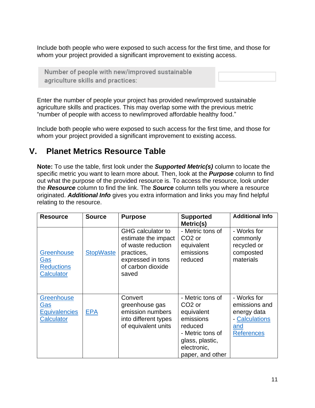Include both people who were exposed to such access for the first time, and those for whom your project provided a significant improvement to existing access.

Number of people with new/improved sustainable agriculture skills and practices:

Enter the number of people your project has provided new/improved sustainable agriculture skills and practices. This may overlap some with the previous metric "number of people with access to new/improved affordable healthy food."

Include both people who were exposed to such access for the first time, and those for whom your project provided a significant improvement to existing access.

## <span id="page-10-0"></span>**V. Planet Metrics Resource Table**

**Note:** To use the table, first look under the *Supported Metric(s)* column to locate the specific metric you want to learn more about. Then, look at the *Purpose* column to find out what the purpose of the provided resource is. To access the resource, look under the *Resource* column to find the link. The *Source* column tells you where a resource originated. *Additional Info* gives you extra information and links you may find helpful relating to the resource.

| <b>Resource</b>                                                | <b>Source</b>    | <b>Purpose</b>                                                                                                                         | <b>Supported</b><br>Metric(s)                                                                                                                          | <b>Additional Info</b>                                                                    |
|----------------------------------------------------------------|------------------|----------------------------------------------------------------------------------------------------------------------------------------|--------------------------------------------------------------------------------------------------------------------------------------------------------|-------------------------------------------------------------------------------------------|
| Greenhouse<br><u>Gas</u><br><b>Reductions</b><br>Calculator    | <b>StopWaste</b> | <b>GHG</b> calculator to<br>estimate the impact<br>of waste reduction<br>practices,<br>expressed in tons<br>of carbon dioxide<br>saved | - Metric tons of<br>CO <sub>2</sub> or<br>equivalent<br>emissions<br>reduced                                                                           | - Works for<br>commonly<br>recycled or<br>composted<br>materials                          |
| Greenhouse<br><u>Gas</u><br><b>Equivalencies</b><br>Calculator | <b>EPA</b>       | Convert<br>greenhouse gas<br>emission numbers<br>into different types<br>of equivalent units                                           | - Metric tons of<br>CO <sub>2</sub> or<br>equivalent<br>emissions<br>reduced<br>- Metric tons of<br>glass, plastic,<br>electronic,<br>paper, and other | - Works for<br>emissions and<br>energy data<br>- Calculations<br>and<br><b>References</b> |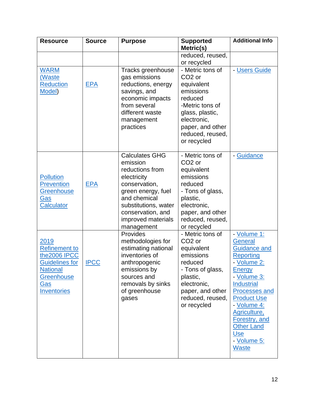| <b>Resource</b>                                                                                                                            | <b>Source</b> | <b>Purpose</b>                                                                                                                                                                                              | <b>Supported</b><br>Metric(s)                                                                                                                                                            | <b>Additional Info</b>                                                                                                                                                                                                                                                                         |
|--------------------------------------------------------------------------------------------------------------------------------------------|---------------|-------------------------------------------------------------------------------------------------------------------------------------------------------------------------------------------------------------|------------------------------------------------------------------------------------------------------------------------------------------------------------------------------------------|------------------------------------------------------------------------------------------------------------------------------------------------------------------------------------------------------------------------------------------------------------------------------------------------|
|                                                                                                                                            |               |                                                                                                                                                                                                             | reduced, reused,<br>or recycled                                                                                                                                                          |                                                                                                                                                                                                                                                                                                |
| <b>WARM</b><br>(Waste<br><b>Reduction</b><br>Model)                                                                                        | <b>EPA</b>    | Tracks greenhouse<br>gas emissions<br>reductions, energy<br>savings, and<br>economic impacts<br>from several<br>different waste<br>management<br>practices                                                  | - Metric tons of<br>CO <sub>2</sub> or<br>equivalent<br>emissions<br>reduced<br>-Metric tons of<br>glass, plastic,<br>electronic,<br>paper, and other<br>reduced, reused,<br>or recycled | - Users Guide                                                                                                                                                                                                                                                                                  |
| <b>Pollution</b><br><b>Prevention</b><br><b>Greenhouse</b><br>Gas<br><b>Calculator</b>                                                     | <b>EPA</b>    | <b>Calculates GHG</b><br>emission<br>reductions from<br>electricity<br>conservation,<br>green energy, fuel<br>and chemical<br>substitutions, water<br>conservation, and<br>improved materials<br>management | - Metric tons of<br>CO <sub>2</sub> or<br>equivalent<br>emissions<br>reduced<br>- Tons of glass,<br>plastic,<br>electronic,<br>paper, and other<br>reduced, reused,<br>or recycled       | - Guidance                                                                                                                                                                                                                                                                                     |
| 2019<br><b>Refinement to</b><br>the2006 IPCC<br><b>Guidelines for</b><br><b>National</b><br><b>Greenhouse</b><br><u>Gas</u><br>Inventories | <b>IPCC</b>   | Provides<br>methodologies for<br>estimating national<br>inventories of<br>anthropogenic<br>emissions by<br>sources and<br>removals by sinks<br>of greenhouse<br>gases                                       | - Metric tons of<br>CO <sub>2</sub> or<br>equivalent<br>emissions<br>reduced<br>- Tons of glass,<br>plastic,<br>electronic,<br>paper, and other<br>reduced, reused,<br>or recycled       | - Volume 1:<br><b>General</b><br><b>Guidance and</b><br>Reporting<br>- Volume 2:<br><b>Energy</b><br>- Volume 3:<br><b>Industrial</b><br>Processes and<br><b>Product Use</b><br>- Volume 4:<br>Agriculture,<br>Forestry, and<br><b>Other Land</b><br><b>Use</b><br>- Volume 5:<br><b>Waste</b> |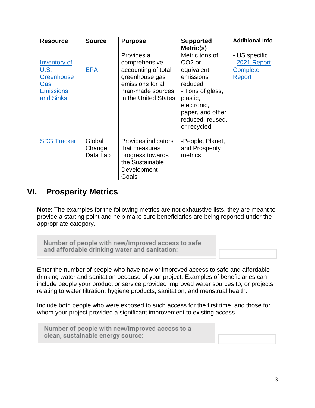| <b>Resource</b>                                                                          | <b>Source</b>                | <b>Purpose</b>                                                                                                                        | <b>Supported</b><br>Metric(s)                                                                                                                                                    | <b>Additional Info</b>                                             |
|------------------------------------------------------------------------------------------|------------------------------|---------------------------------------------------------------------------------------------------------------------------------------|----------------------------------------------------------------------------------------------------------------------------------------------------------------------------------|--------------------------------------------------------------------|
| Inventory of<br><u>U.S.</u><br>Greenhouse<br><u>Gas</u><br><b>Emissions</b><br>and Sinks | <b>EPA</b>                   | Provides a<br>comprehensive<br>accounting of total<br>greenhouse gas<br>emissions for all<br>man-made sources<br>in the United States | Metric tons of<br>CO <sub>2</sub> or<br>equivalent<br>emissions<br>reduced<br>- Tons of glass,<br>plastic,<br>electronic,<br>paper, and other<br>reduced, reused,<br>or recycled | - US specific<br>- 2021 Report<br><b>Complete</b><br><b>Report</b> |
| <b>SDG Tracker</b>                                                                       | Global<br>Change<br>Data Lab | Provides indicators<br>that measures<br>progress towards<br>the Sustainable<br>Development<br>Goals                                   | -People, Planet,<br>and Prosperity<br>metrics                                                                                                                                    |                                                                    |

## <span id="page-12-0"></span>**VI. Prosperity Metrics**

**Note**: The examples for the following metrics are not exhaustive lists, they are meant to provide a starting point and help make sure beneficiaries are being reported under the appropriate category.

Number of people with new/improved access to safe and affordable drinking water and sanitation:

Enter the number of people who have new or improved access to safe and affordable drinking water and sanitation because of your project. Examples of beneficiaries can include people your product or service provided improved water sources to, or projects relating to water filtration, hygiene products, sanitation, and menstrual health.

Include both people who were exposed to such access for the first time, and those for whom your project provided a significant improvement to existing access.

Number of people with new/improved access to a clean, sustainable energy source: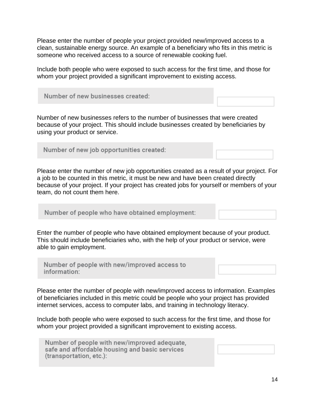Please enter the number of people your project provided new/improved access to a clean, sustainable energy source. An example of a beneficiary who fits in this metric is someone who received access to a source of renewable cooking fuel.

Include both people who were exposed to such access for the first time, and those for whom your project provided a significant improvement to existing access.

| Number of new businesses created: |  |
|-----------------------------------|--|
|                                   |  |

Number of new businesses refers to the number of businesses that were created because of your project. This should include businesses created by beneficiaries by using your product or service.

Number of new job opportunities created:

Please enter the number of new job opportunities created as a result of your project. For a job to be counted in this metric, it must be new and have been created directly because of your project. If your project has created jobs for yourself or members of your team, do not count them here.

Number of people who have obtained employment:

Enter the number of people who have obtained employment because of your product. This should include beneficiaries who, with the help of your product or service, were able to gain employment.

Number of people with new/improved access to information:

Please enter the number of people with new/improved access to information. Examples of beneficiaries included in this metric could be people who your project has provided internet services, access to computer labs, and training in technology literacy.

Include both people who were exposed to such access for the first time, and those for whom your project provided a significant improvement to existing access.

Number of people with new/improved adequate. safe and affordable housing and basic services (transportation, etc.):